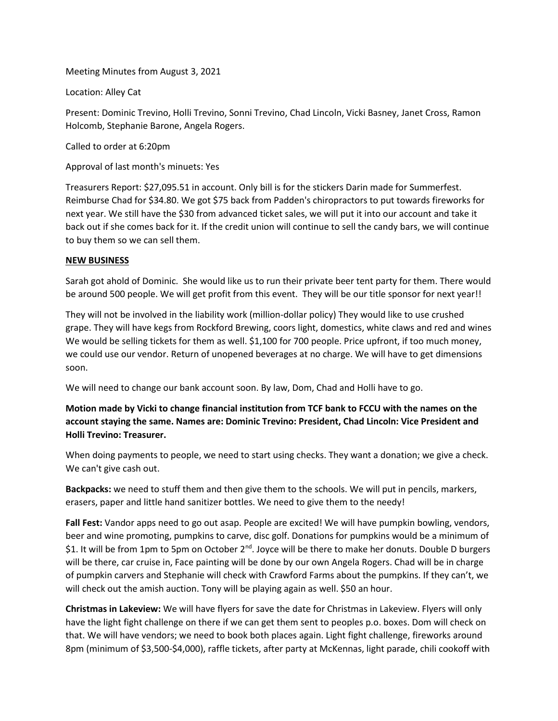Meeting Minutes from August 3, 2021

Location: Alley Cat

Present: Dominic Trevino, Holli Trevino, Sonni Trevino, Chad Lincoln, Vicki Basney, Janet Cross, Ramon Holcomb, Stephanie Barone, Angela Rogers.

Called to order at 6:20pm

Approval of last month's minuets: Yes

Treasurers Report: \$27,095.51 in account. Only bill is for the stickers Darin made for Summerfest. Reimburse Chad for \$34.80. We got \$75 back from Padden's chiropractors to put towards fireworks for next year. We still have the \$30 from advanced ticket sales, we will put it into our account and take it back out if she comes back for it. If the credit union will continue to sell the candy bars, we will continue to buy them so we can sell them.

## **NEW BUSINESS**

Sarah got ahold of Dominic. She would like us to run their private beer tent party for them. There would be around 500 people. We will get profit from this event. They will be our title sponsor for next year!!

They will not be involved in the liability work (million-dollar policy) They would like to use crushed grape. They will have kegs from Rockford Brewing, coors light, domestics, white claws and red and wines We would be selling tickets for them as well. \$1,100 for 700 people. Price upfront, if too much money, we could use our vendor. Return of unopened beverages at no charge. We will have to get dimensions soon.

We will need to change our bank account soon. By law, Dom, Chad and Holli have to go.

**Motion made by Vicki to change financial institution from TCF bank to FCCU with the names on the account staying the same. Names are: Dominic Trevino: President, Chad Lincoln: Vice President and Holli Trevino: Treasurer.** 

When doing payments to people, we need to start using checks. They want a donation; we give a check. We can't give cash out.

**Backpacks:** we need to stuff them and then give them to the schools. We will put in pencils, markers, erasers, paper and little hand sanitizer bottles. We need to give them to the needy!

**Fall Fest:** Vandor apps need to go out asap. People are excited! We will have pumpkin bowling, vendors, beer and wine promoting, pumpkins to carve, disc golf. Donations for pumpkins would be a minimum of \$1. It will be from 1pm to 5pm on October 2<sup>nd</sup>. Joyce will be there to make her donuts. Double D burgers will be there, car cruise in, Face painting will be done by our own Angela Rogers. Chad will be in charge of pumpkin carvers and Stephanie will check with Crawford Farms about the pumpkins. If they can't, we will check out the amish auction. Tony will be playing again as well. \$50 an hour.

**Christmas in Lakeview:** We will have flyers for save the date for Christmas in Lakeview. Flyers will only have the light fight challenge on there if we can get them sent to peoples p.o. boxes. Dom will check on that. We will have vendors; we need to book both places again. Light fight challenge, fireworks around 8pm (minimum of \$3,500-\$4,000), raffle tickets, after party at McKennas, light parade, chili cookoff with